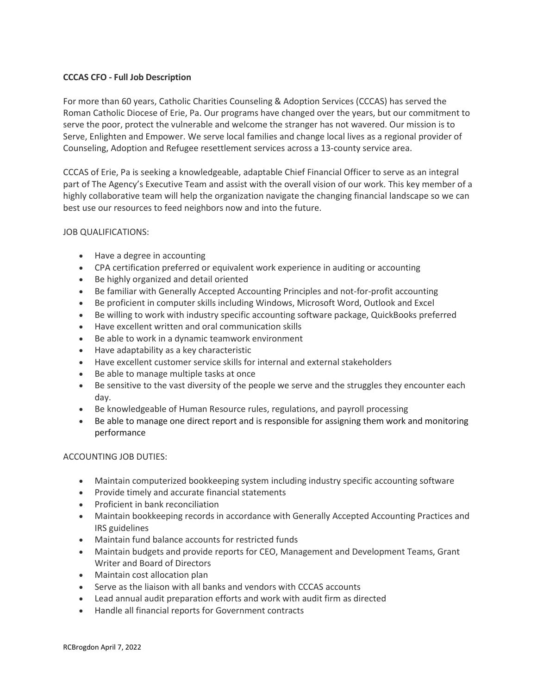# **CCCAS CFO - Full Job Description**

For more than 60 years, Catholic Charities Counseling & Adoption Services (CCCAS) has served the Roman Catholic Diocese of Erie, Pa. Our programs have changed over the years, but our commitment to serve the poor, protect the vulnerable and welcome the stranger has not wavered. Our mission is to Serve, Enlighten and Empower. We serve local families and change local lives as a regional provider of Counseling, Adoption and Refugee resettlement services across a 13-county service area.

CCCAS of Erie, Pa is seeking a knowledgeable, adaptable Chief Financial Officer to serve as an integral part of The Agency's Executive Team and assist with the overall vision of our work. This key member of a highly collaborative team will help the organization navigate the changing financial landscape so we can best use our resources to feed neighbors now and into the future.

## JOB QUALIFICATIONS:

- Have a degree in accounting
- CPA certification preferred or equivalent work experience in auditing or accounting
- Be highly organized and detail oriented
- Be familiar with Generally Accepted Accounting Principles and not-for-profit accounting
- Be proficient in computer skills including Windows, Microsoft Word, Outlook and Excel
- Be willing to work with industry specific accounting software package, QuickBooks preferred
- Have excellent written and oral communication skills
- Be able to work in a dynamic teamwork environment
- Have adaptability as a key characteristic
- Have excellent customer service skills for internal and external stakeholders
- Be able to manage multiple tasks at once
- Be sensitive to the vast diversity of the people we serve and the struggles they encounter each day.
- Be knowledgeable of Human Resource rules, regulations, and payroll processing
- Be able to manage one direct report and is responsible for assigning them work and monitoring performance

## ACCOUNTING JOB DUTIES:

- Maintain computerized bookkeeping system including industry specific accounting software
- Provide timely and accurate financial statements
- Proficient in bank reconciliation
- Maintain bookkeeping records in accordance with Generally Accepted Accounting Practices and IRS guidelines
- Maintain fund balance accounts for restricted funds
- Maintain budgets and provide reports for CEO, Management and Development Teams, Grant Writer and Board of Directors
- Maintain cost allocation plan
- Serve as the liaison with all banks and vendors with CCCAS accounts
- Lead annual audit preparation efforts and work with audit firm as directed
- Handle all financial reports for Government contracts